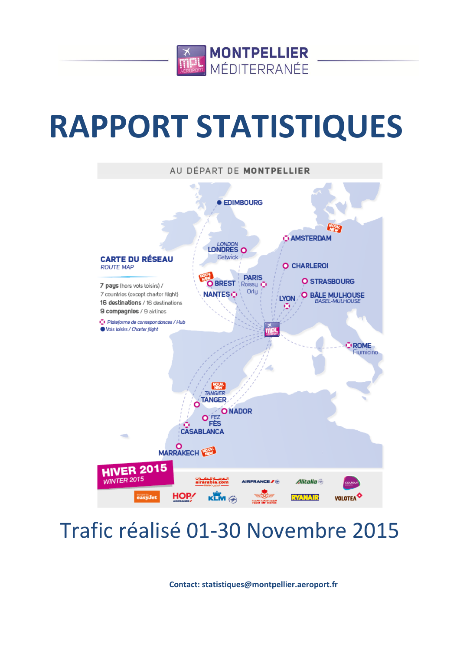

# **RAPPORT STATISTIQUES**



## Trafic réalisé 01-30 Novembre 2015

**Contact: statistiques@montpellier.aeroport.fr**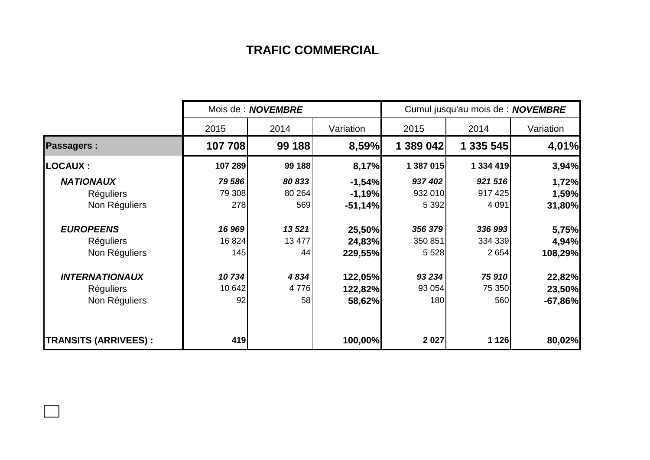## **TRAFIC COMMERCIAL**

|                             | Mois de : <b>NOVEMBRE</b> |         |           | Cumul jusqu'au mois de : NOVEMBRE |           |           |  |
|-----------------------------|---------------------------|---------|-----------|-----------------------------------|-----------|-----------|--|
|                             | 2015                      | 2014    | Variation | 2015                              | 2014      | Variation |  |
| <b>Passagers:</b>           | 107 708                   | 99 188  | 8,59%     | 1 389 042                         | 1 335 545 | 4,01%     |  |
| <b>LOCAUX :</b>             | 107 289                   | 99 188  | 8,17%     | 1 387 015                         | 1 334 419 | 3,94%     |  |
| <b>NATIONAUX</b>            | 79 586                    | 80 833  | $-1,54%$  | 937 402                           | 921 516   | 1,72%     |  |
| <b>Réguliers</b>            | 79 308                    | 80 264  | $-1,19%$  | 932 010                           | 917 425   | 1,59%     |  |
| Non Réguliers               | 278                       | 569     | $-51,14%$ | 5 3 9 2                           | 4 0 9 1   | 31,80%    |  |
| <b>EUROPEENS</b>            | 16 969                    | 13521   | 25,50%    | 356 379                           | 336 993   | 5,75%     |  |
| <b>Réguliers</b>            | 16 824                    | 13 477  | 24,83%    | 350 851                           | 334 339   | 4,94%     |  |
| Non Réguliers               | 145                       | 44      | 229,55%   | 5 5 28                            | 2 6 5 4   | 108,29%   |  |
| <b>INTERNATIONAUX</b>       | 10734                     | 4834    | 122,05%   | 93 2 34                           | 75 910    | 22,82%    |  |
| <b>Réguliers</b>            | 10 642                    | 4 7 7 6 | 122,82%   | 93 054                            | 75 350    | 23,50%    |  |
| Non Réguliers               | 92                        | 58      | 58,62%    | 180                               | 560       | $-67,86%$ |  |
| <b>TRANSITS (ARRIVEES):</b> | 419                       |         | 100,00%   | 2 0 2 7                           | 1 1 2 6   | 80,02%    |  |

 $\Box$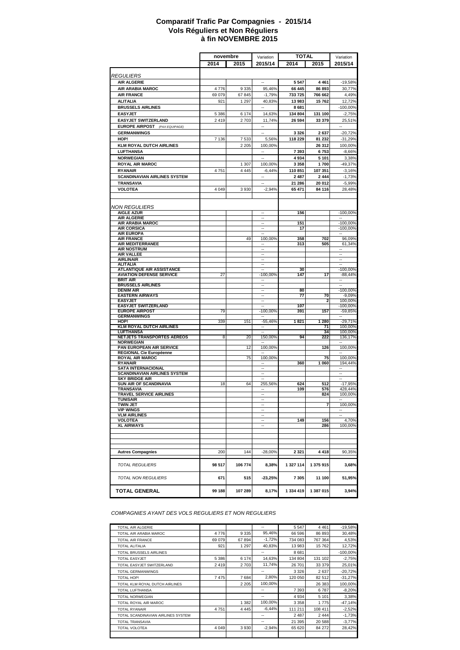#### **à fin NOVEMBRE 2015 Comparatif Trafic Par Compagnies - 2015/14 Vols Réguliers et Non Réguliers**

|                                                     | novembre |         | Variation                | TOTAL     |           | Variation                |
|-----------------------------------------------------|----------|---------|--------------------------|-----------|-----------|--------------------------|
|                                                     | 2014     | 2015    | 2015/14                  | 2014      | 2015      | 2015/14                  |
|                                                     |          |         |                          |           |           |                          |
| <b>REGULIERS</b>                                    |          |         |                          |           |           |                          |
| <b>AIR ALGERIE</b>                                  |          |         | $\sim$                   | 5 5 4 7   | 4 4 6 1   | $-19,58%$                |
| <b>AIR ARABIA MAROC</b>                             | 4776     | 9 3 3 5 | 95,46%                   | 66 445    | 86 893    | 30,77%                   |
| <b>AIR FRANCE</b>                                   | 69 079   | 67 845  | $-1,79%$                 | 733 725   | 766 662   | 4,49%                    |
| <b>ALITALIA</b>                                     | 921      | 1 2 9 7 | 40,83%                   | 13983     | 15762     | 12,72%                   |
| <b>BRUSSELS AIRLINES</b>                            |          |         |                          | 8681      |           | $-100,00%$               |
| <b>EASYJET</b>                                      | 5 3 8 6  | 6 174   | 14,63%                   | 134 804   | 131 100   | $-2,75%$                 |
| <b>EASYJET SWITZERLAND</b>                          | 2 4 1 9  | 2 7 0 3 | 11,74%                   | 26 594    | 33 379    | 25,51%                   |
| <b>EUROPE AIRPOST</b><br>(PAX EQUIPAGE)             |          |         | ä.                       |           |           |                          |
| <b>GERMANWINGS</b>                                  |          |         | $\overline{\phantom{a}}$ | 3 3 2 6   | 2637      | $-20,72%$                |
| HOP!                                                | 7 1 3 6  | 7 5 3 3 | 5,56%                    | 118 229   | 81 232    | $-31,29%$                |
| <b>KLM ROYAL DUTCH AIRLINES</b>                     |          | 2 2 0 5 | 100.00%                  |           | 26 312    | 100,00%                  |
| <b>LUFTHANSA</b>                                    |          |         | ÷.                       | 7393      | 6753      | $-8,66%$                 |
| <b>NORWEGIAN</b>                                    |          |         | $\sim$                   | 4934      | 5 1 0 1   | 3,38%                    |
| <b>ROYAL AIR MAROC</b>                              |          | 1 307   | 100,00%                  | 3 3 5 8   | 1700      | $-49,37%$                |
| <b>RYANAIR</b>                                      | 4751     | 4 4 4 5 | $-6,44%$                 | 110851    | 107 351   | $-3,16%$                 |
| <b>SCANDINAVIAN AIRLINES SYSTEM</b>                 |          |         | Ξ.                       | 2487      | 2 4 4 4   | $-1,73%$                 |
| <b>TRANSAVIA</b>                                    |          |         | $\overline{\phantom{a}}$ |           |           |                          |
|                                                     |          |         |                          | 21 286    | 20 012    | $-5,99%$                 |
| <b>VOLOTEA</b>                                      | 4 0 4 9  | 3 9 3 0 | $-2,94%$                 | 65 471    | 84 116    | 28,48%                   |
|                                                     |          |         |                          |           |           |                          |
| <b>NON REGULIERS</b>                                |          |         |                          |           |           |                          |
| <b>AIGLE AZUR</b>                                   |          |         |                          | 156       |           | $-100,00%$               |
| AIR ALGERIE                                         |          |         | $\overline{\phantom{a}}$ |           |           | $\overline{\phantom{a}}$ |
| <b>AIR ARABIA MAROC</b>                             |          |         |                          | 151       |           | $-100.00%$               |
| <b>AIR CORSICA</b>                                  |          |         | ÷.                       | 17        |           | $-100,00%$               |
| <b>AIR EUROPA</b><br><b>AIR FRANCE</b>              |          | 49      | ÷.<br>100,00%            | 358       | 702       | 96,09%                   |
| AIR MEDITERRANEE                                    |          |         | н.                       | 313       | 505       | 61,34%                   |
| <b>AIR NOSTRUM</b>                                  |          |         | ÷.                       |           |           |                          |
| <b>AIR VALLEE</b>                                   |          |         | $\sim$                   |           |           | ÷.                       |
| <b>AIRLINAIR</b>                                    |          |         | ٠.                       |           |           | --                       |
| <b>ALITALIA</b><br><b>ATLANTIQUE AIR ASSISTANCE</b> |          |         | н.<br>÷.                 | 30        |           | $\sim$<br>$-100.00%$     |
| <b>AVIATION DEFENSE SERVICE</b>                     | 27       |         | -100,00%                 | 147       | 17        | $-88,44%$                |
| <b>BRIT AIR</b>                                     |          |         | ٠.                       |           |           | ۰.                       |
| <b>BRUSSELS AIRLINES</b>                            |          |         | н.                       |           |           | $\overline{a}$           |
| <b>DENIM AIR</b>                                    |          |         | ÷.                       | 80        |           | $-100,00%$               |
| <b>EASTERN AIRWAYS</b><br><b>EASYJET</b>            |          |         | t.                       | 77        | 70<br>2   | $-9,09%$<br>100,00%      |
| <b>EASYJET SWITZERLAND</b>                          |          |         | $\overline{\phantom{a}}$ | 107       |           | $-100,00%$               |
| <b>EUROPE AIRPOST</b>                               | 79       |         | $-100,00%$               | 391       | 157       | $-59.85%$                |
| <b>GERMANWINGS</b>                                  |          |         |                          |           |           |                          |
| HOP!                                                | 339      | 151     | $-55,46%$                | 1821      | 1 280     | $-29,71%$                |
| <b>KLM ROYAL DUTCH AIRLINES</b>                     |          |         | $\overline{\phantom{a}}$ |           | 71<br>34  | 100,00%                  |
| LUFTHANSA<br>NETJETS TRANSPORTES AEREOS             | 8        | 20      | 150,00%                  | 94        | 222       | 100,00%<br>136,17%       |
| <b>NORWEGIAN</b>                                    |          |         |                          |           |           |                          |
| PAN EUROPEAN AIR SERVICE                            |          | 12      | 100,00%                  |           | 126       | 100,00%                  |
| <b>REGIONAL Cie Européenne</b>                      |          |         |                          |           |           |                          |
| <b>ROYAL AIR MAROC</b>                              |          | 75      | 100,00%                  |           | 75        | 100,00%                  |
| <b>RYANAIR</b><br><b>SATA INTERNACIONAL</b>         |          |         | --                       | 360       | 1 060     | 194,44%<br>۰.            |
| SCANDINAVIAN AIRLINES SYSTEM                        |          |         | $\overline{\phantom{a}}$ |           |           | $\overline{\phantom{a}}$ |
| <b>SKY BRIDGE AIR</b>                               |          |         |                          |           |           |                          |
| <b>SUN AIR OF SCANDINAVIA</b>                       | 18       | 64      | 255,56%                  | 624       | 512       | $-17,95%$                |
| <b>TRANSAVIA</b>                                    |          |         |                          | 109       | 576       | 428,44%                  |
| <b>TRAVEL SERVICE AIRLINES</b><br><b>TUNISAIR</b>   |          |         | $\sim$                   |           | 824       | 100,00%                  |
| <b>TWIN JET</b>                                     |          |         | $\sim$                   |           | 7         | 100,00%                  |
| <b>VIP WINGS</b>                                    |          |         | ٠.                       |           |           | ٠.                       |
| <b>VLM AIRLINES</b>                                 |          |         | $\overline{\phantom{a}}$ |           |           |                          |
| <b>VOLOTEA</b>                                      |          |         | ÷.                       | 149       | 156       | 4,70%                    |
| <b>XL AIRWAYS</b>                                   |          |         | $\overline{\phantom{a}}$ |           | 286       | 100,00%                  |
|                                                     |          |         |                          |           |           |                          |
|                                                     |          |         |                          |           |           |                          |
|                                                     |          |         |                          |           |           |                          |
| <b>Autres Compagnies</b>                            | 200      | 144     | $-28,00%$                | 2 3 2 1   | 4 4 1 8   | 90,35%                   |
|                                                     |          |         |                          |           |           |                          |
| <b>TOTAL REGULIERS</b>                              | 98 517   | 106 774 | 8,38%                    | 1 327 114 | 1 375 915 | 3,68%                    |
|                                                     |          |         |                          |           |           |                          |
| <b>TOTAL NON REGULIERS</b>                          | 671      | 515     | $-23,25%$                | 7 3 0 5   | 11 100    | 51,95%                   |
| <b>TOTAL GENERAL</b>                                | 99 188   | 107 289 | 8,17%                    | 1 334 419 | 1 387 015 | 3,94%                    |

*COMPAGNIES AYANT DES VOLS REGULIERS ET NON REGULIERS*

| <b>TOTAL AIR ALGERIE</b>           |         |         | --       | 5 5 4 7 | 4 4 6 1 | $-19,58%$  |
|------------------------------------|---------|---------|----------|---------|---------|------------|
| TOTAL AIR ARABIA MAROC             | 4 7 7 6 | 9 3 3 5 | 95,46%   | 66 596  | 86 893  | 30,48%     |
| <b>TOTAL AIR FRANCE</b>            | 69 079  | 67894   | $-1.72%$ | 734 083 | 767 364 | 4,53%      |
| <b>TOTAL ALITALIA</b>              | 921     | 1 2 9 7 | 40.83%   | 13 983  | 15762   | 12,72%     |
| <b>TOTAL BRUSSELS AIRLINES</b>     |         |         | --       | 8681    |         | $-100,00%$ |
| <b>TOTAL EASYJET</b>               | 5 3 8 6 | 6 174   | 14,63%   | 134 804 | 131 102 | $-2,75%$   |
| TOTAL EASYJET SWITZERLAND          | 2419    | 2 7 0 3 | 11.74%   | 26 701  | 33 379  | 25,01%     |
| <b>TOTAL GERMANWINGS</b>           |         |         | --       | 3 3 2 6 | 2637    | $-20,72%$  |
| TOTAL HOP!                         | 7475    | 7684    | 2,80%    | 120 050 | 82 512  | $-31,27%$  |
| TOTAL KLM ROYAL DUTCH AIRLINES     |         | 2 2 0 5 | 100.00%  |         | 26 383  | 100,00%    |
| TOTAL LUFTHANSA                    |         |         | --       | 7 3 9 3 | 6787    | $-8,20%$   |
| <b>TOTAL NORWEGIAN</b>             |         |         | --       | 4 9 3 4 | 5 1 0 1 | 3,38%      |
| TOTAL ROYAL AIR MAROC              |         | 1 3 8 2 | 100,00%  | 3 3 5 8 | 1 7 7 5 | $-47,14%$  |
| <b>TOTAL RYANAIR</b>               | 4751    | 4 4 4 5 | $-6,44%$ | 111 211 | 108 411 | $-2,52%$   |
| TOTAL SCANDINAVIAN AIRLINES SYSTEM |         |         | --       | 2 4 8 7 | 2 4 4 4 | $-1,73%$   |
| <b>TOTAL TRANSAVIA</b>             |         |         | --       | 21 395  | 20 588  | $-3,77%$   |
| <b>TOTAL VOLOTEA</b>               | 4 0 4 9 | 3 9 3 0 | $-2.94%$ | 65 620  | 84 272  | 28,42%     |
|                                    |         |         |          |         |         |            |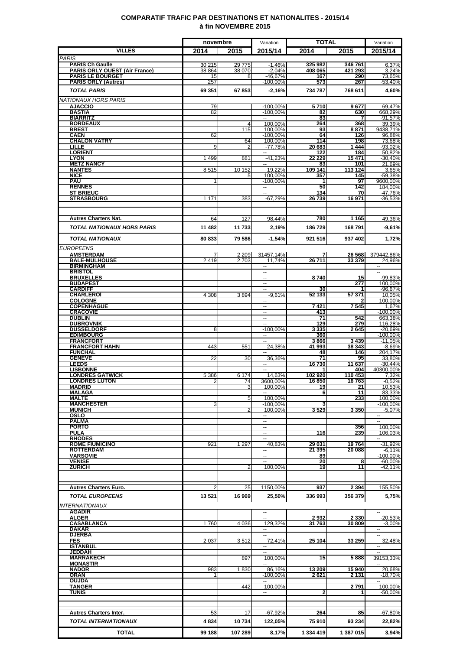### **COMPARATIF TRAFIC PAR DESTINATIONS ET NATIONALITES - 2015/14 à fin NOVEMBRE 2015**

|                                                                | novembre         |                    | Variation                          | <b>TOTAL</b>       |                   | Variation                           |
|----------------------------------------------------------------|------------------|--------------------|------------------------------------|--------------------|-------------------|-------------------------------------|
| <b>VILLES</b>                                                  | 2014             | 2015               | 2015/14                            | 2014               | 2015              | 2015/14                             |
| <b>PARIS</b>                                                   |                  |                    |                                    |                    |                   |                                     |
| <b>PARIS Ch Gaulle</b><br><b>PARIS ORLY OUEST (Air France)</b> | 30 215<br>38 864 | 29 7 7 5<br>38 070 | $-1,46%$<br>$-2,04%$               | 325 982<br>408 065 | 346761<br>421 293 | 6,37%<br>3,24%                      |
| <b>PARIS LE BOURGET</b>                                        | 15               | 8                  | $-46,67%$                          | 167                | 290               | 73,65%                              |
| <b>PARIS ORLY (Autres)</b>                                     | 257              |                    | $-100,00%$                         | 573                | 267               | -53,40%                             |
| <b>TOTAL PARIS</b>                                             | 69 351           | 67853              | $-2,16%$                           | 734 787            | 768 611           | 4,60%                               |
| <b>NATIONAUX HORS PARIS</b>                                    |                  |                    |                                    |                    |                   |                                     |
| <b>AJACCIO</b><br><b>BASTIA</b>                                | 79<br>82         |                    | $-100,00%$<br>$-100,00%$           | 5710<br>82         | 9677<br>630       | 69,47%<br>668,29%                   |
| <b>BIARRITZ</b>                                                |                  |                    | --                                 | 83                 | 7                 | $-91,57%$                           |
| <b>BORDEAUX</b><br><b>BREST</b>                                |                  | 4<br>115           | 100.00%<br>100,00%                 | 264<br>93          | 368<br>8871       | 39,39%<br>9438,71%                  |
| <b>CAEN</b>                                                    | 62               |                    | $-100,00%$                         | 64                 | 126               | 96,88%                              |
| <b>CHALON VATRY</b><br><b>LILLE</b>                            | 9                | 64<br>2            | 100,00%<br>-77,78%                 | 114<br>20 683      | 198<br>1444       | 73,68%<br>$-93,02%$                 |
| <b>LORIENT</b>                                                 |                  |                    | $\overline{\phantom{a}}$           | 122                | 184               | 50,82%                              |
| <b>LYON</b><br><b>METZ NANCY</b>                               | 1499             | 881                | $-41,23%$<br>н.                    | 22 229<br>83       | 15471<br>101      | -30,40%<br>21,69%                   |
| <b>NANTES</b>                                                  | 8515             | 10 152             | 19,22%                             | 109 141            | 113 124           | 3,65%                               |
| <b>NICE</b><br><b>PAU</b>                                      | 1                |                    | 100,00%<br>$-100,00%$              | 357                | 145<br>97         | -59,38%<br>9600,00%                 |
| <b>RENNES</b>                                                  |                  |                    | -- 1                               | 50                 | 142               | 184,00%                             |
| <b>ST BRIEUC</b><br><b>STRASBOURG</b>                          | 1 1 7 1          | 383                | $-67,29%$                          | 134<br>26739       | 70<br>16971       | -47,76%<br>$-36,53%$                |
|                                                                |                  |                    |                                    |                    |                   |                                     |
|                                                                |                  |                    |                                    |                    |                   |                                     |
| <b>Autres Charters Nat.</b>                                    | 64               | 127                | 98,44%                             | 780                | 1 1 6 5           | 49,36%                              |
| <b>TOTAL NATIONAUX HORS PARIS</b>                              | 11 482           | 11 733             | 2,19%                              | 186729             | 168791            | -9,61%                              |
| <b>TOTAL NATIONAUX</b>                                         | 80 833           | 79 586             | $-1,54%$                           | 921 516            | 937 402           | 1,72%                               |
| <b>EUROPEENS</b>                                               |                  |                    |                                    |                    |                   |                                     |
| <b>AMSTERDAM</b>                                               |                  | 2 2 0 9            | 31457.14%                          |                    | 26 568            | 379442.86%                          |
| <b>BALE-MULHOUSE</b><br><b>BIRMINGHAM</b>                      | 2419             | 2 7 0 3            | 11.74%<br>$\overline{\phantom{a}}$ | 26711              | 33 379            | 24,96%<br>$\sim$                    |
| <b>BRISTOL</b>                                                 |                  |                    | $\overline{\phantom{a}}$           |                    |                   | $\overline{\phantom{a}}$            |
| <b>BRUXELLES</b><br><b>BUDAPEST</b>                            |                  |                    | $\sim$<br>н.                       | 8740               | 15<br>277         | $-99,83%$<br>100,00%                |
| <b>CARDIFF</b>                                                 |                  |                    | H                                  | 30                 | 1                 | -96,67%                             |
| <b>CHARLEROI</b><br><b>COLOGNE</b>                             | 4 3 0 8          | 3894               | $-9.61%$<br>--                     | 52 133             | 57 371            | 10.05%<br>100,00%                   |
| <b>COPENHAGUE</b>                                              |                  |                    | $\overline{a}$                     | 7421               | 7545              | 1,67%                               |
| <b>CRACOVIE</b><br><b>DUBLIN</b>                               |                  |                    | Щ.<br>$\sim$                       | 413<br>71          | 542               | $-100,00%$<br>663,38%               |
| <b>DUBROVNIK</b>                                               |                  |                    | $\overline{a}$                     | 129                | 279               | 116,28%                             |
| <b>DUSSELDORF</b>                                              | 8                |                    | $-100,00%$                         | 3335               | 2645              | $-20,69%$<br>$-100,00%$             |
| <b>EDIMBOURG</b><br><b>FRANCFORT</b>                           |                  |                    | ⊶.                                 | 360<br>3866        | 3 4 3 9           | $-11,05%$                           |
| <b>FRANCFORT HAHN</b>                                          | 443              | 551                | 24,38%                             | 41 993             | 38 343            | $-8,69%$                            |
| <b>FUNCHAL</b><br><b>GENEVE</b>                                | 22               | 30                 | 36,36%                             | 48<br>71           | 146<br>95         | 204,17%<br>33,80%                   |
| <b>LEEDS</b>                                                   |                  |                    |                                    | 16730              | 11 637            | $-30,44%$                           |
| <b>LISBONNE</b><br><b>LONDRES GATWICK</b>                      | 5 3 8 6          | 6 1 7 4            | --<br>14,63%                       | 102920             | 404<br>110 453    | 40300,00%<br>7,32%                  |
| <b>LONDRES LUTON</b>                                           | $\overline{2}$   | 74                 | 3600,00%                           | 16850              | 16763             | $-0,52%$                            |
| <b>MADRID</b><br><b>MALAGA</b>                                 |                  | 3                  | 100,00%                            | 19<br>6            | 21<br>11          | 10,53%<br>83,33%                    |
| <b>MALTE</b>                                                   |                  | 5                  | 100,00%                            |                    | 233               | 100,00%                             |
| <b>MANCHESTER</b><br><b>MUNICH</b>                             |                  | $\overline{2}$     | $-100,00%$<br>100,00%              | 3529               | 3350              | $-100,00%$<br>$-5,07%$              |
| OSLO                                                           |                  |                    |                                    |                    |                   |                                     |
| <b>PALMA</b><br><b>PORTO</b>                                   |                  |                    | н.<br>н.                           |                    | 356               | $\overline{\phantom{a}}$<br>100,00% |
| <b>PULA</b>                                                    |                  |                    | $\overline{\phantom{a}}$           | 116                | 239               | 106.03%                             |
| <b>RHODES</b><br><b>ROME FIUMICINO</b>                         | 921              | 1 2 9 7            | 40,83%                             | 29 031             | 19764             | $-31.92%$                           |
| <b>ROTTERDAM</b>                                               |                  |                    | $\sim$                             | 21 395             | 20 088            | $-6,11%$                            |
| <b>VARSOVIE</b><br><b>VENISE</b>                               |                  |                    | щ.                                 | 89<br>20           | 8                 | $-100,00%$<br>$-60,00%$             |
| <b>ZURICH</b>                                                  |                  |                    | 100,00%                            | 19                 | 11                | $-42,11%$                           |
|                                                                |                  |                    |                                    |                    |                   |                                     |
| <b>Autres Charters Euro.</b>                                   |                  | 25                 | 1150,00%                           | 937                | 2 3 9 4           | 155,50%                             |
| <b>TOTAL EUROPEENS</b>                                         | 13 5 21          | 16 969             | 25,50%                             | 336 993            | 356 379           | 5,75%                               |
|                                                                |                  |                    |                                    |                    |                   |                                     |
| <b>INTERNATIONAUX</b><br><b>AGADIR</b>                         |                  |                    |                                    |                    |                   |                                     |
| <b>ALGER</b>                                                   |                  |                    |                                    | 2932               | 2 3 3 0           | $-20,53%$                           |
| <b>CASABLANCA</b><br><b>DAKAR</b>                              | 1760             | 4 0 36             | 129,32%<br>−−                      | 31 763             | 30 809            | $-3.00%$<br>$\mathbf{u}$            |
| <b>DJERBA</b>                                                  |                  |                    | Ξ.                                 |                    |                   |                                     |
| <b>FES</b><br><b>ISTANBUL</b>                                  | 2 0 3 7          | 3512               | 72,41%<br>−−                       | 25 104             | 33 259            | 32,48%<br>$\overline{\phantom{a}}$  |
| <b>JEDDAH</b>                                                  |                  |                    | Ξ.                                 |                    |                   |                                     |
| <b>MARRAKECH</b><br><b>MONASTIR</b>                            |                  | 897                | 100,00%                            | 15                 | 5888              | 39153,33%                           |
| <b>NADOR</b>                                                   | 983              | 1830               | 86,16%                             | 13 209             | 15940             | 20.68%                              |
| ORAN<br><b>OUJDA</b>                                           | 1                |                    | $-100,00%$<br>н.                   | 2621               | 2 131             | $-18,70%$<br>$\sim$                 |
| <b>TANGER</b>                                                  |                  | 442                | 100,00%                            |                    | 2791              | 100,00%                             |
| TUNIS                                                          |                  |                    | --                                 | 2                  |                   | -50,00%                             |
|                                                                |                  |                    |                                    |                    |                   |                                     |
| <b>Autres Charters Inter.</b>                                  | 53               | 17                 | $-67,92%$                          | 264                | 85                | $-67,80%$                           |
| <b>TOTAL INTERNATIONAUX</b>                                    | 4834             | 10734              | 122,05%                            | 75910              | 93 234            | 22,82%                              |
| <b>TOTAL</b>                                                   | 99 188           | 107 289            | 8,17%                              | 1 334 419          | 1 387 015         | 3,94%                               |